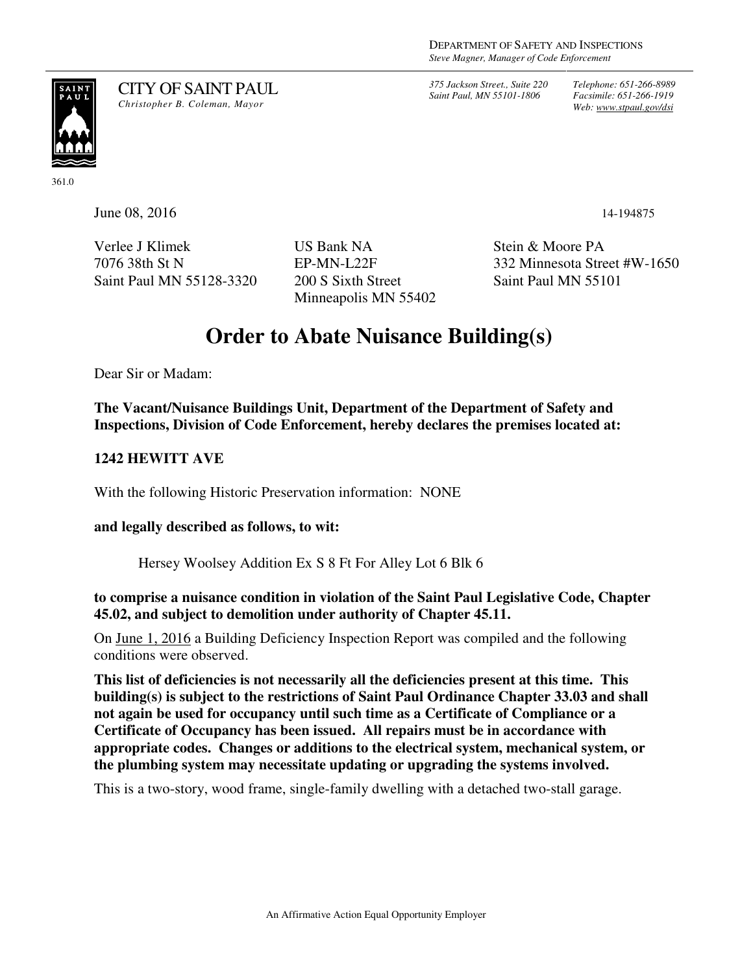*375 Jackson Street., Suite 220 Saint Paul, MN 55101-1806*

*Telephone: 651-266-8989 Facsimile: 651-266-1919 Web: www.stpaul.gov/dsi*

# SAINT<br>PAUL

CITY OF SAINT PAUL *Christopher B. Coleman, Mayor* 

361.0

June 08, 2016 14-194875

Verlee J Klimek 7076 38th St N Saint Paul MN 55128-3320 US Bank NA EP-MN-L22F 200 S Sixth Street Minneapolis MN 55402 Stein & Moore PA 332 Minnesota Street #W-1650 Saint Paul MN 55101

## **Order to Abate Nuisance Building(s)**

Dear Sir or Madam:

**The Vacant/Nuisance Buildings Unit, Department of the Department of Safety and Inspections, Division of Code Enforcement, hereby declares the premises located at:** 

### **1242 HEWITT AVE**

With the following Historic Preservation information: NONE

### **and legally described as follows, to wit:**

Hersey Woolsey Addition Ex S 8 Ft For Alley Lot 6 Blk 6

### **to comprise a nuisance condition in violation of the Saint Paul Legislative Code, Chapter 45.02, and subject to demolition under authority of Chapter 45.11.**

On June 1, 2016 a Building Deficiency Inspection Report was compiled and the following conditions were observed.

**This list of deficiencies is not necessarily all the deficiencies present at this time. This building(s) is subject to the restrictions of Saint Paul Ordinance Chapter 33.03 and shall not again be used for occupancy until such time as a Certificate of Compliance or a Certificate of Occupancy has been issued. All repairs must be in accordance with appropriate codes. Changes or additions to the electrical system, mechanical system, or the plumbing system may necessitate updating or upgrading the systems involved.** 

This is a two-story, wood frame, single-family dwelling with a detached two-stall garage.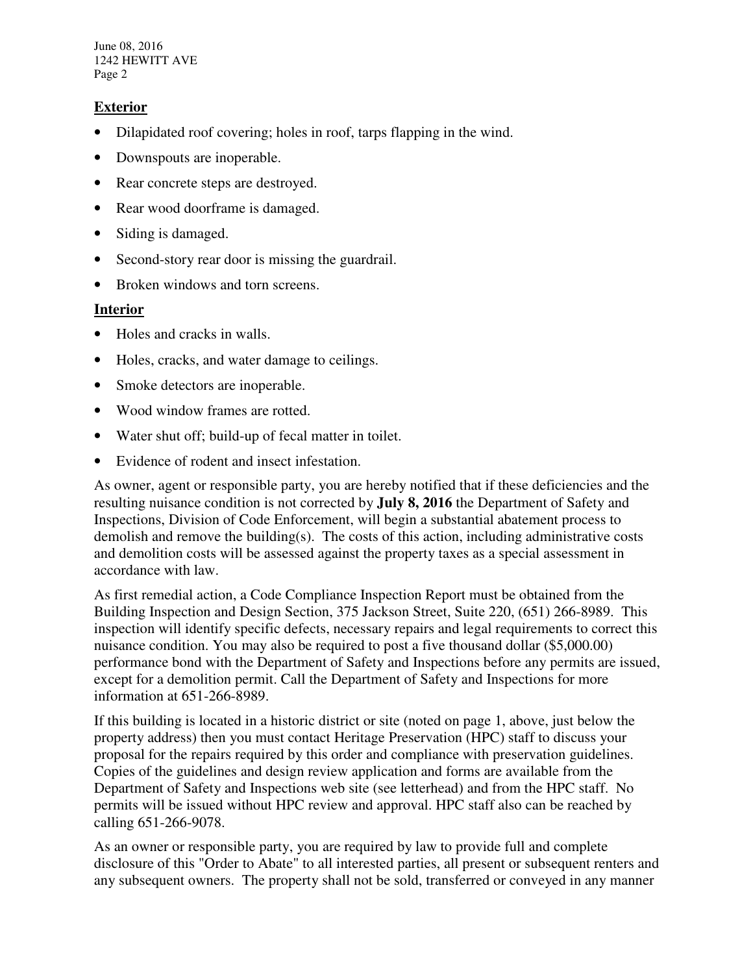June 08, 2016 1242 HEWITT AVE Page 2

#### **Exterior**

- Dilapidated roof covering; holes in roof, tarps flapping in the wind.
- Downspouts are inoperable.
- Rear concrete steps are destroyed.
- Rear wood doorframe is damaged.
- Siding is damaged.
- Second-story rear door is missing the guardrail.
- Broken windows and torn screens.

#### **Interior**

- Holes and cracks in walls.
- Holes, cracks, and water damage to ceilings.
- Smoke detectors are inoperable.
- Wood window frames are rotted.
- Water shut off; build-up of fecal matter in toilet.
- Evidence of rodent and insect infestation.

As owner, agent or responsible party, you are hereby notified that if these deficiencies and the resulting nuisance condition is not corrected by **July 8, 2016** the Department of Safety and Inspections, Division of Code Enforcement, will begin a substantial abatement process to demolish and remove the building(s). The costs of this action, including administrative costs and demolition costs will be assessed against the property taxes as a special assessment in accordance with law.

As first remedial action, a Code Compliance Inspection Report must be obtained from the Building Inspection and Design Section, 375 Jackson Street, Suite 220, (651) 266-8989. This inspection will identify specific defects, necessary repairs and legal requirements to correct this nuisance condition. You may also be required to post a five thousand dollar (\$5,000.00) performance bond with the Department of Safety and Inspections before any permits are issued, except for a demolition permit. Call the Department of Safety and Inspections for more information at 651-266-8989.

If this building is located in a historic district or site (noted on page 1, above, just below the property address) then you must contact Heritage Preservation (HPC) staff to discuss your proposal for the repairs required by this order and compliance with preservation guidelines. Copies of the guidelines and design review application and forms are available from the Department of Safety and Inspections web site (see letterhead) and from the HPC staff. No permits will be issued without HPC review and approval. HPC staff also can be reached by calling 651-266-9078.

As an owner or responsible party, you are required by law to provide full and complete disclosure of this "Order to Abate" to all interested parties, all present or subsequent renters and any subsequent owners. The property shall not be sold, transferred or conveyed in any manner